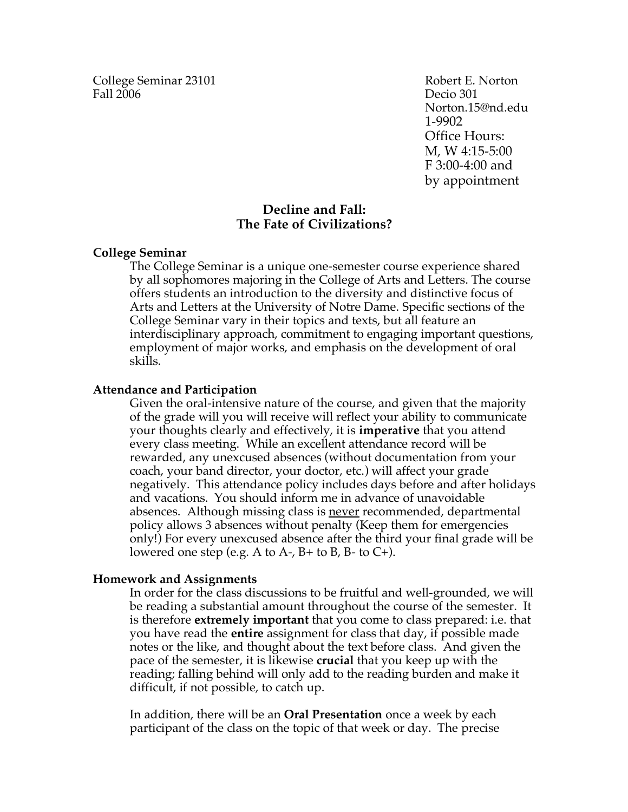College Seminar 23101 Robert E. Norton Fall 2006 Decio 301

Norton.15@nd.edu 1-9902 Office Hours: M, W 4:15-5:00 F 3:00-4:00 and by appointment

### **Decline and Fall: The Fate of Civilizations?**

#### **College Seminar**

The College Seminar is a unique one-semester course experience shared by all sophomores majoring in the College of Arts and Letters. The course offers students an introduction to the diversity and distinctive focus of Arts and Letters at the University of Notre Dame. Specific sections of the College Seminar vary in their topics and texts, but all feature an interdisciplinary approach, commitment to engaging important questions, employment of major works, and emphasis on the development of oral skills.

#### **Attendance and Participation**

Given the oral-intensive nature of the course, and given that the majority of the grade will you will receive will reflect your ability to communicate your thoughts clearly and effectively, it is **imperative** that you attend every class meeting. While an excellent attendance record will be rewarded, any unexcused absences (without documentation from your coach, your band director, your doctor, etc.) will affect your grade negatively. This attendance policy includes days before and after holidays and vacations. You should inform me in advance of unavoidable absences. Although missing class is never recommended, departmental policy allows 3 absences without penalty (Keep them for emergencies only!) For every unexcused absence after the third your final grade will be lowered one step (e.g. A to A-,  $B$ + to B, B- to C+).

#### **Homework and Assignments**

In order for the class discussions to be fruitful and well-grounded, we will be reading a substantial amount throughout the course of the semester. It is therefore **extremely important** that you come to class prepared: i.e. that you have read the **entire** assignment for class that day, if possible made notes or the like, and thought about the text before class. And given the pace of the semester, it is likewise **crucial** that you keep up with the reading; falling behind will only add to the reading burden and make it difficult, if not possible, to catch up.

In addition, there will be an **Oral Presentation** once a week by each participant of the class on the topic of that week or day. The precise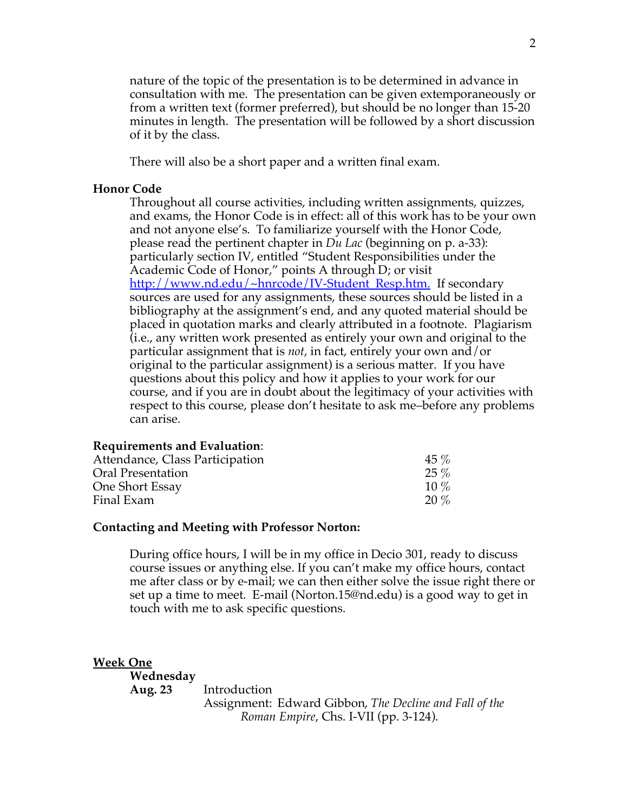nature of the topic of the presentation is to be determined in advance in consultation with me. The presentation can be given extemporaneously or from a written text (former preferred), but should be no longer than 15-20 minutes in length. The presentation will be followed by a short discussion of it by the class.

There will also be a short paper and a written final exam.

#### **Honor Code**

Throughout all course activities, including written assignments, quizzes, and exams, the Honor Code is in effect: all of this work has to be your own and not anyone else's. To familiarize yourself with the Honor Code, please read the pertinent chapter in *Du Lac* (beginning on p. a-33): particularly section IV, entitled "Student Responsibilities under the Academic Code of Honor," points A through D; or visit http://www.nd.edu/~hnrcode/IV-Student\_Resp.htm. If secondary sources are used for any assignments, these sources should be listed in a bibliography at the assignment's end, and any quoted material should be placed in quotation marks and clearly attributed in a footnote. Plagiarism (i.e., any written work presented as entirely your own and original to the particular assignment that is *not*, in fact, entirely your own and/or original to the particular assignment) is a serious matter. If you have questions about this policy and how it applies to your work for our course, and if you are in doubt about the legitimacy of your activities with respect to this course, please don't hesitate to ask me–before any problems can arise.

#### **Requirements and Evaluation**:

| Attendance, Class Participation | $45\%$  |
|---------------------------------|---------|
| <b>Oral Presentation</b>        | $25\%$  |
| One Short Essay                 | $10\%$  |
| Final Exam                      | $20 \%$ |

#### **Contacting and Meeting with Professor Norton:**

During office hours, I will be in my office in Decio 301, ready to discuss course issues or anything else. If you can't make my office hours, contact me after class or by e-mail; we can then either solve the issue right there or set up a time to meet. E-mail (Norton.15@nd.edu) is a good way to get in touch with me to ask specific questions.

**Week One Wednesday Aug. 23** Introduction Assignment: Edward Gibbon, *The Decline and Fall of the* 

*Roman Empire*, Chs. I-VII (pp. 3-124).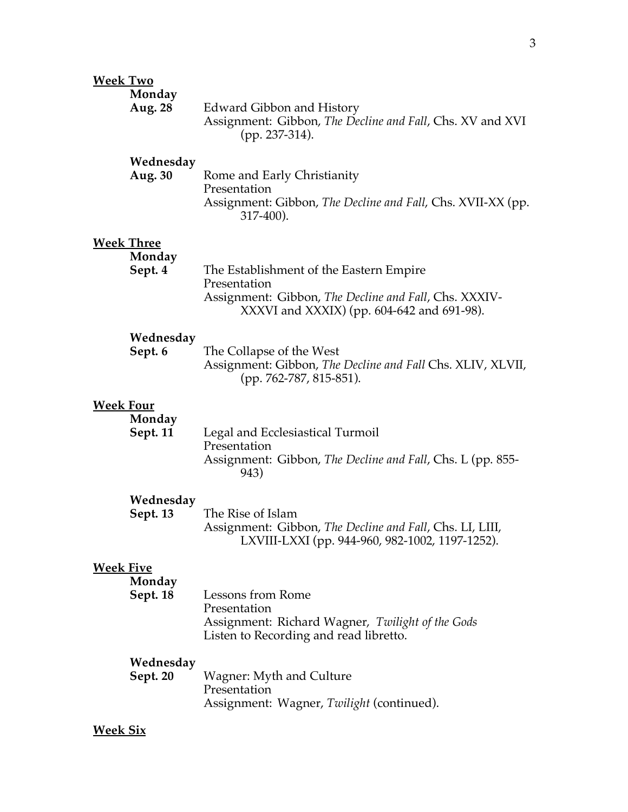3

|                  | Monday<br>Aug. 28                      | Edward Gibbon and History<br>Assignment: Gibbon, The Decline and Fall, Chs. XV and XVI<br>$(pp. 237-314).$                                                          |
|------------------|----------------------------------------|---------------------------------------------------------------------------------------------------------------------------------------------------------------------|
|                  | Wednesday<br>Aug. 30                   | Rome and Early Christianity<br>Presentation<br>Assignment: Gibbon, The Decline and Fall, Chs. XVII-XX (pp.<br>317-400).                                             |
|                  | <b>Week Three</b><br>Monday<br>Sept. 4 | The Establishment of the Eastern Empire<br>Presentation<br>Assignment: Gibbon, The Decline and Fall, Chs. XXXIV-<br>XXXVI and XXXIX) (pp. $604-642$ and $691-98$ ). |
|                  | Wednesday<br>Sept. 6                   | The Collapse of the West<br>Assignment: Gibbon, The Decline and Fall Chs. XLIV, XLVII,<br>(pp. 762-787, 815-851).                                                   |
| <u>Week Four</u> | Monday<br>Sept. 11                     | Legal and Ecclesiastical Turmoil<br>Presentation<br>Assignment: Gibbon, The Decline and Fall, Chs. L (pp. 855-<br>943)                                              |
|                  | Wednesday<br>Sept. 13                  | The Rise of Islam<br>Assignment: Gibbon, The Decline and Fall, Chs. LI, LIII,<br>LXVIII-LXXI (pp. 944-960, 982-1002, 1197-1252).                                    |
| <b>Week Five</b> | Monday<br><b>Sept. 18</b>              | Lessons from Rome<br>Presentation<br>Assignment: Richard Wagner, Twilight of the Gods<br>Listen to Recording and read libretto.                                     |
|                  | Wednesday<br>Sept. 20                  | Wagner: Myth and Culture<br>Presentation<br>Assignment: Wagner, Twilight (continued).                                                                               |

## **Week Six**

**Week Two**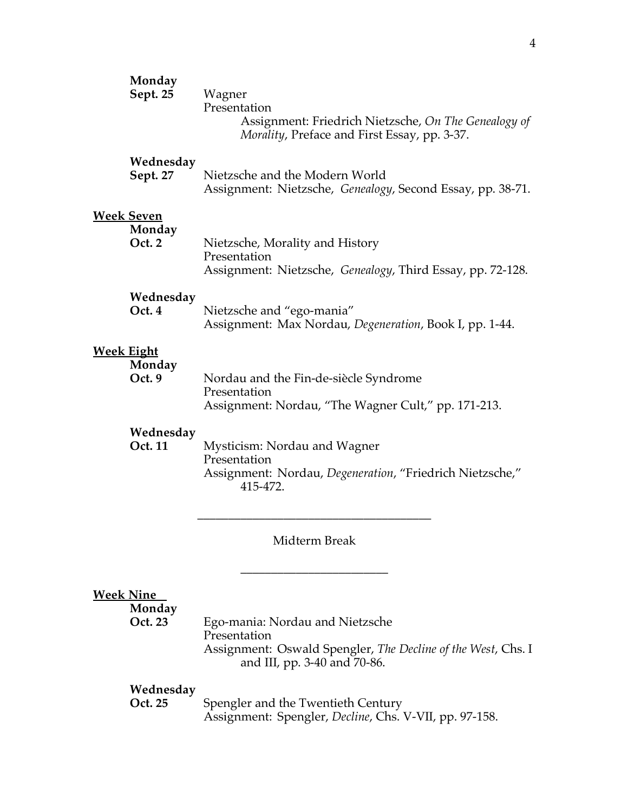|                   | Monday<br>Sept. 25                    | Wagner<br>Presentation<br>Assignment: Friedrich Nietzsche, On The Genealogy of<br>Morality, Preface and First Essay, pp. 3-37. |
|-------------------|---------------------------------------|--------------------------------------------------------------------------------------------------------------------------------|
|                   | Wednesday<br>Sept. 27                 | Nietzsche and the Modern World<br>Assignment: Nietzsche, Genealogy, Second Essay, pp. 38-71.                                   |
|                   | <b>Week Seven</b><br>Monday<br>Oct. 2 | Nietzsche, Morality and History<br>Presentation<br>Assignment: Nietzsche, <i>Genealogy</i> , Third Essay, pp. 72-128.          |
|                   | Wednesday<br>Oct. 4                   | Nietzsche and "ego-mania"<br>Assignment: Max Nordau, Degeneration, Book I, pp. 1-44.                                           |
| <b>Week Eight</b> | Monday<br>Oct. 9                      | Nordau and the Fin-de-siècle Syndrome<br>Presentation<br>Assignment: Nordau, "The Wagner Cult," pp. 171-213.                   |
|                   | Wednesday<br>Oct. 11                  | Mysticism: Nordau and Wagner<br>Presentation<br>Assignment: Nordau, Degeneration, "Friedrich Nietzsche,"<br>415-472.           |
|                   |                                       | Midterm Break                                                                                                                  |
| <b>Week Nine</b>  | Monday<br>Oct. 23                     | Ego-mania: Nordau and Nietzsche                                                                                                |

Presentation Assignment: Oswald Spengler, *The Decline of the West*, Chs. I and III, pp. 3-40 and 70-86.

# **Wednesday**

**Oct. 25** Spengler and the Twentieth Century Assignment: Spengler, *Decline*, Chs. V-VII, pp. 97-158.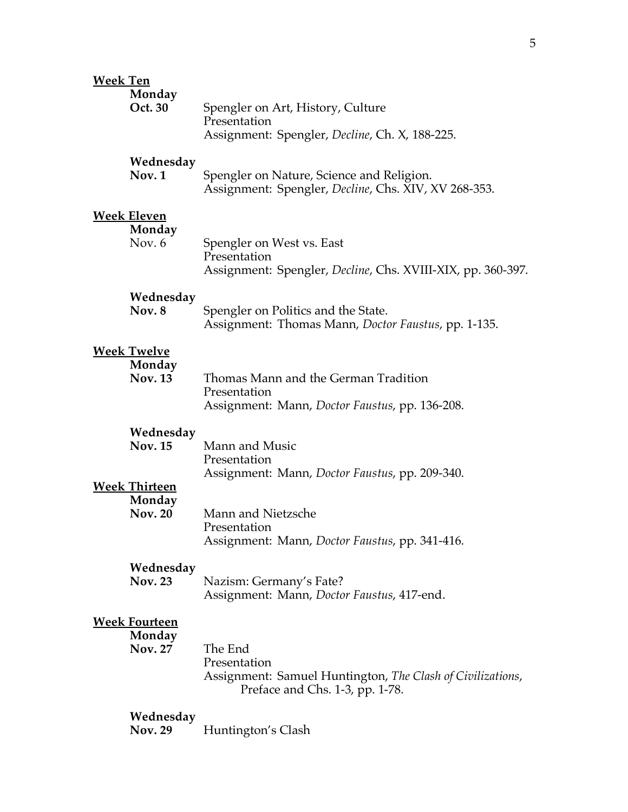| <b>Week Ten</b> | Monday                                           |                                                                                                                          |
|-----------------|--------------------------------------------------|--------------------------------------------------------------------------------------------------------------------------|
|                 | Oct. 30                                          | Spengler on Art, History, Culture<br>Presentation                                                                        |
|                 |                                                  | Assignment: Spengler, Decline, Ch. X, 188-225.                                                                           |
|                 | Wednesday<br>Nov. 1                              | Spengler on Nature, Science and Religion.<br>Assignment: Spengler, Decline, Chs. XIV, XV 268-353.                        |
|                 | <b>Week Eleven</b><br>Monday<br>Nov. $6$         | Spengler on West vs. East<br>Presentation<br>Assignment: Spengler, Decline, Chs. XVIII-XIX, pp. 360-397.                 |
|                 | Wednesday<br>Nov. 8                              | Spengler on Politics and the State.<br>Assignment: Thomas Mann, Doctor Faustus, pp. 1-135.                               |
|                 | <b>Week Twelve</b><br>Monday<br><b>Nov. 13</b>   | Thomas Mann and the German Tradition<br>Presentation<br>Assignment: Mann, Doctor Faustus, pp. 136-208.                   |
|                 | Wednesday<br><b>Nov. 15</b>                      | Mann and Music<br>Presentation<br>Assignment: Mann, Doctor Faustus, pp. 209-340.                                         |
|                 | <b>Week Thirteen</b><br>Monday<br><b>Nov. 20</b> | Mann and Nietzsche<br>Presentation<br>Assignment: Mann, Doctor Faustus, pp. 341-416.                                     |
|                 | Wednesday<br><b>Nov. 23</b>                      | Nazism: Germany's Fate?<br>Assignment: Mann, Doctor Faustus, 417-end.                                                    |
|                 | <b>Week Fourteen</b><br>Monday<br><b>Nov. 27</b> | The End<br>Presentation<br>Assignment: Samuel Huntington, The Clash of Civilizations,<br>Preface and Chs. 1-3, pp. 1-78. |
|                 | Wednesday<br><b>Nov. 29</b>                      | Huntington's Clash                                                                                                       |